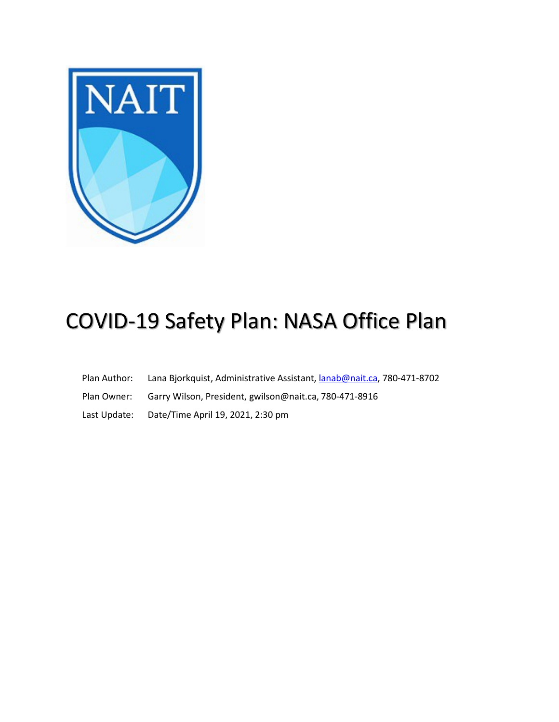

# COVID-19 Safety Plan: NASA Office Plan

- Plan Author: Lana Bjorkquist, Administrative Assistant, *lanab@nait.ca*, 780-471-8702
- Plan Owner: Garry Wilson, President, [gwilson@nait.ca,](mailto:gwilson@nait.ca) 780-471-8916
- Last Update: Date/Time April 19, 2021, 2:30 pm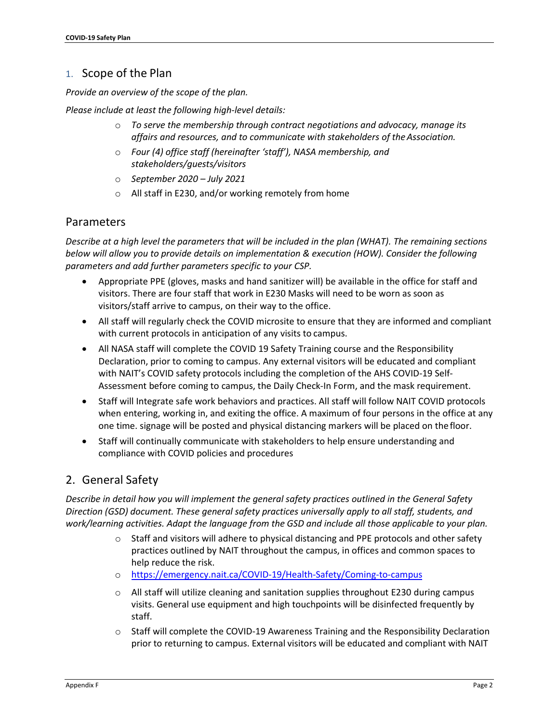## 1. Scope of the Plan

*Provide an overview of the scope of the plan.*

*Please include at least the following high-level details:*

- o *To serve the membership through contract negotiations and advocacy, manage its affairs and resources, and to communicate with stakeholders of theAssociation.*
- o *Four (4) office staff (hereinafter 'staff'), NASA membership, and stakeholders/guests/visitors*
- o *September 2020 – July 2021*
- o All staff in E230, and/or working remotely from home

#### Parameters

*Describe at a high level the parameters that will be included in the plan (WHAT). The remaining sections below will allow you to provide details on implementation & execution (HOW). Consider the following parameters and add further parameters specific to your CSP.*

- Appropriate PPE (gloves, masks and hand sanitizer will) be available in the office for staff and visitors. There are four staff that work in E230 Masks will need to be worn as soon as visitors/staff arrive to campus, on their way to the office.
- All staff will regularly check the COVID microsite to ensure that they are informed and compliant with current protocols in anticipation of any visits to campus.
- All NASA staff will complete the COVID 19 Safety Training course and the Responsibility Declaration, prior to coming to campus. Any external visitors will be educated and compliant with NAIT's COVID safety protocols including the completion of the AHS COVID-19 Self-Assessment before coming to campus, the Daily Check-In Form, and the mask requirement.
- Staff will Integrate safe work behaviors and practices. All staff will follow NAIT COVID protocols when entering, working in, and exiting the office. A maximum of four persons in the office at any one time. signage will be posted and physical distancing markers will be placed on the floor.
- Staff will continually communicate with stakeholders to help ensure understanding and compliance with COVID policies and procedures

## 2. General Safety

*Describe in detail how you will implement the general safety practices outlined in the General Safety Direction (GSD) document. These general safety practices universally apply to all staff, students, and work/learning activities. Adapt the language from the GSD and include all those applicable to your plan.*

- $\circ$  Staff and visitors will adhere to physical distancing and PPE protocols and other safety practices outlined by NAIT throughout the campus, in offices and common spaces to help reduce the risk.
- o <https://emergency.nait.ca/COVID-19/Health-Safety/Coming-to-campus>
- $\circ$  All staff will utilize cleaning and sanitation supplies throughout E230 during campus visits. General use equipment and high touchpoints will be disinfected frequently by staff.
- o Staff will complete the COVID-19 Awareness Training and the Responsibility Declaration prior to returning to campus. External visitors will be educated and compliant with NAIT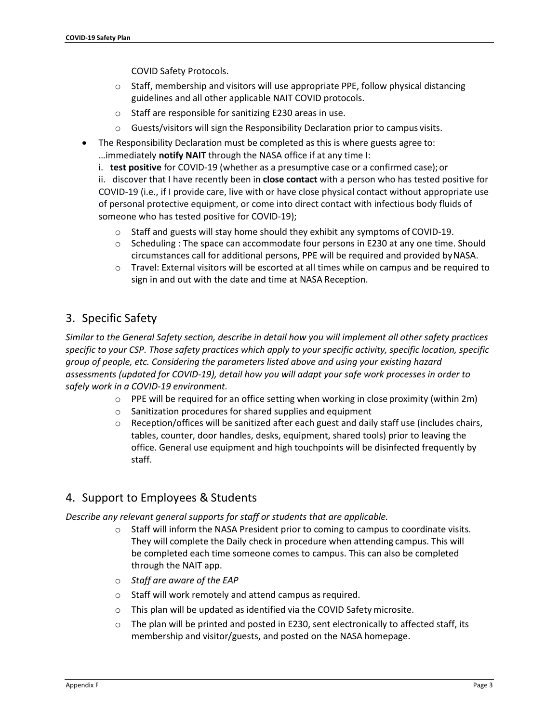COVID Safety Protocols.

- o Staff, membership and visitors will use appropriate PPE, follow physical distancing guidelines and all other applicable NAIT COVID protocols.
- o Staff are responsible for sanitizing E230 areas in use.
- o Guests/visitors will sign the Responsibility Declaration prior to campus visits.
- The Responsibility Declaration must be completed as this is where guests agree to: …immediately **notify NAIT** through the NASA office if at any time I:
	- i. **test positive** for COVID-19 (whether as a presumptive case or a confirmed case);or ii. discover that I have recently been in **close contact** with a person who has tested positive for COVID-19 (i.e., if I provide care, live with or have close physical contact without appropriate use of personal protective equipment, or come into direct contact with infectious body fluids of someone who has tested positive for COVID-19);
		- o Staff and guests will stay home should they exhibit any symptoms of COVID-19.
		- o Scheduling : The space can accommodate four persons in E230 at any one time. Should circumstances call for additional persons, PPE will be required and provided byNASA.
		- o Travel: External visitors will be escorted at all times while on campus and be required to sign in and out with the date and time at NASA Reception.

# 3. Specific Safety

*Similar to the General Safety section, describe in detail how you will implement all other safety practices specific to your CSP. Those safety practices which apply to your specific activity, specific location, specific group of people, etc. Considering the parameters listed above and using your existing hazard assessments (updated for COVID-19), detail how you will adapt your safe work processes in order to safely work in a COVID-19 environment.*

- $\circ$  PPE will be required for an office setting when working in close proximity (within 2m)
- o Sanitization procedures for shared supplies and equipment
- $\circ$  Reception/offices will be sanitized after each guest and daily staff use (includes chairs, tables, counter, door handles, desks, equipment, shared tools) prior to leaving the office. General use equipment and high touchpoints will be disinfected frequently by staff.

## 4. Support to Employees & Students

*Describe any relevant general supports for staff or students that are applicable.*

- $\circ$  Staff will inform the NASA President prior to coming to campus to coordinate visits. They will complete the Daily check in procedure when attending campus. This will be completed each time someone comes to campus. This can also be completed through the NAIT app.
- o *Staff are aware of the EAP*
- o Staff will work remotely and attend campus as required.
- o This plan will be updated as identified via the COVID Safety microsite.
- $\circ$  The plan will be printed and posted in E230, sent electronically to affected staff, its membership and visitor/guests, and posted on the NASA homepage.